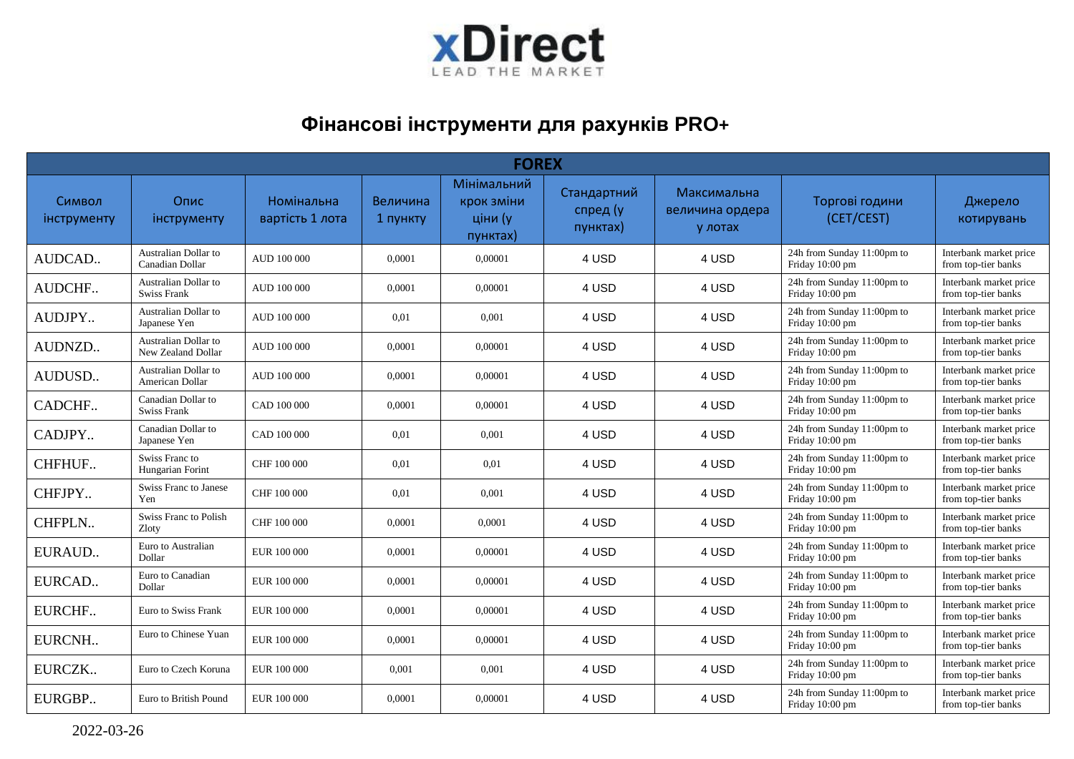

## **Фінансові інструменти для рахунків PRO+**

| <b>FOREX</b>                 |                                            |                                      |                      |                                                  |                                     |                                           |                                               |                                               |  |  |  |
|------------------------------|--------------------------------------------|--------------------------------------|----------------------|--------------------------------------------------|-------------------------------------|-------------------------------------------|-----------------------------------------------|-----------------------------------------------|--|--|--|
| Символ<br><b>інструменту</b> | Опис<br>інструменту                        | <b>Номінальна</b><br>вартість 1 лота | Величина<br>1 пункту | Мінімальний<br>крок зміни<br>ціни (у<br>пунктах) | Стандартний<br>спред (у<br>пунктах) | Максимальна<br>величина ордера<br>у лотах | Торгові години<br>(CET/CEST)                  | Джерело<br>котирувань                         |  |  |  |
| AUDCAD                       | Australian Dollar to<br>Canadian Dollar    | AUD 100 000                          | 0.0001               | 0,00001                                          | 4 USD                               | 4 USD                                     | 24h from Sunday 11:00pm to<br>Friday 10:00 pm | Interbank market price<br>from top-tier banks |  |  |  |
| AUDCHF                       | Australian Dollar to<br><b>Swiss Frank</b> | AUD 100 000                          | 0.0001               | 0.00001                                          | 4 USD                               | 4 USD                                     | 24h from Sunday 11:00pm to<br>Friday 10:00 pm | Interbank market price<br>from top-tier banks |  |  |  |
| AUDJPY                       | Australian Dollar to<br>Japanese Yen       | AUD 100 000                          | 0,01                 | 0,001                                            | 4 USD                               | 4 USD                                     | 24h from Sunday 11:00pm to<br>Friday 10:00 pm | Interbank market price<br>from top-tier banks |  |  |  |
| AUDNZD                       | Australian Dollar to<br>New Zealand Dollar | AUD 100 000                          | 0,0001               | 0,00001                                          | 4 USD                               | 4 USD                                     | 24h from Sunday 11:00pm to<br>Friday 10:00 pm | Interbank market price<br>from top-tier banks |  |  |  |
| AUDUSD                       | Australian Dollar to<br>American Dollar    | AUD 100 000                          | 0,0001               | 0,00001                                          | 4 USD                               | 4 USD                                     | 24h from Sunday 11:00pm to<br>Friday 10:00 pm | Interbank market price<br>from top-tier banks |  |  |  |
| CADCHF                       | Canadian Dollar to<br><b>Swiss Frank</b>   | CAD 100 000                          | 0,0001               | 0.00001                                          | 4 USD                               | 4 USD                                     | 24h from Sunday 11:00pm to<br>Friday 10:00 pm | Interbank market price<br>from top-tier banks |  |  |  |
| CADJPY                       | Canadian Dollar to<br>Japanese Yen         | CAD 100 000                          | 0,01                 | 0,001                                            | 4 USD                               | 4 USD                                     | 24h from Sunday 11:00pm to<br>Friday 10:00 pm | Interbank market price<br>from top-tier banks |  |  |  |
| CHFHUF                       | Swiss Franc to<br>Hungarian Forint         | CHF 100 000                          | 0.01                 | 0,01                                             | 4 USD                               | 4 USD                                     | 24h from Sunday 11:00pm to<br>Friday 10:00 pm | Interbank market price<br>from top-tier banks |  |  |  |
| CHFJPY                       | Swiss Franc to Janese<br>Yen               | CHF 100 000                          | 0.01                 | 0,001                                            | 4 USD                               | 4 USD                                     | 24h from Sunday 11:00pm to<br>Friday 10:00 pm | Interbank market price<br>from top-tier banks |  |  |  |
| CHFPLN                       | Swiss Franc to Polish<br>Zloty             | CHF 100 000                          | 0,0001               | 0,0001                                           | 4 USD                               | 4 USD                                     | 24h from Sunday 11:00pm to<br>Friday 10:00 pm | Interbank market price<br>from top-tier banks |  |  |  |
| EURAUD                       | Euro to Australian<br>Dollar               | EUR 100 000                          | 0,0001               | 0,00001                                          | 4 USD                               | 4 USD                                     | 24h from Sunday 11:00pm to<br>Friday 10:00 pm | Interbank market price<br>from top-tier banks |  |  |  |
| EURCAD                       | Euro to Canadian<br>Dollar                 | EUR 100 000                          | 0,0001               | 0,00001                                          | 4 USD                               | 4 USD                                     | 24h from Sunday 11:00pm to<br>Friday 10:00 pm | Interbank market price<br>from top-tier banks |  |  |  |
| EURCHF                       | Euro to Swiss Frank                        | EUR 100 000                          | 0.0001               | 0.00001                                          | 4 USD                               | 4 USD                                     | 24h from Sunday 11:00pm to<br>Friday 10:00 pm | Interbank market price<br>from top-tier banks |  |  |  |
| EURCNH                       | Euro to Chinese Yuan                       | EUR 100 000                          | 0,0001               | 0,00001                                          | 4 USD                               | 4 USD                                     | 24h from Sunday 11:00pm to<br>Friday 10:00 pm | Interbank market price<br>from top-tier banks |  |  |  |
| EURCZK                       | Euro to Czech Koruna                       | EUR 100 000                          | 0,001                | 0,001                                            | 4 USD                               | 4 USD                                     | 24h from Sunday 11:00pm to<br>Friday 10:00 pm | Interbank market price<br>from top-tier banks |  |  |  |
| EURGBP                       | Euro to British Pound                      | EUR 100 000                          | 0,0001               | 0,00001                                          | 4 USD                               | 4 USD                                     | 24h from Sunday 11:00pm to<br>Friday 10:00 pm | Interbank market price<br>from top-tier banks |  |  |  |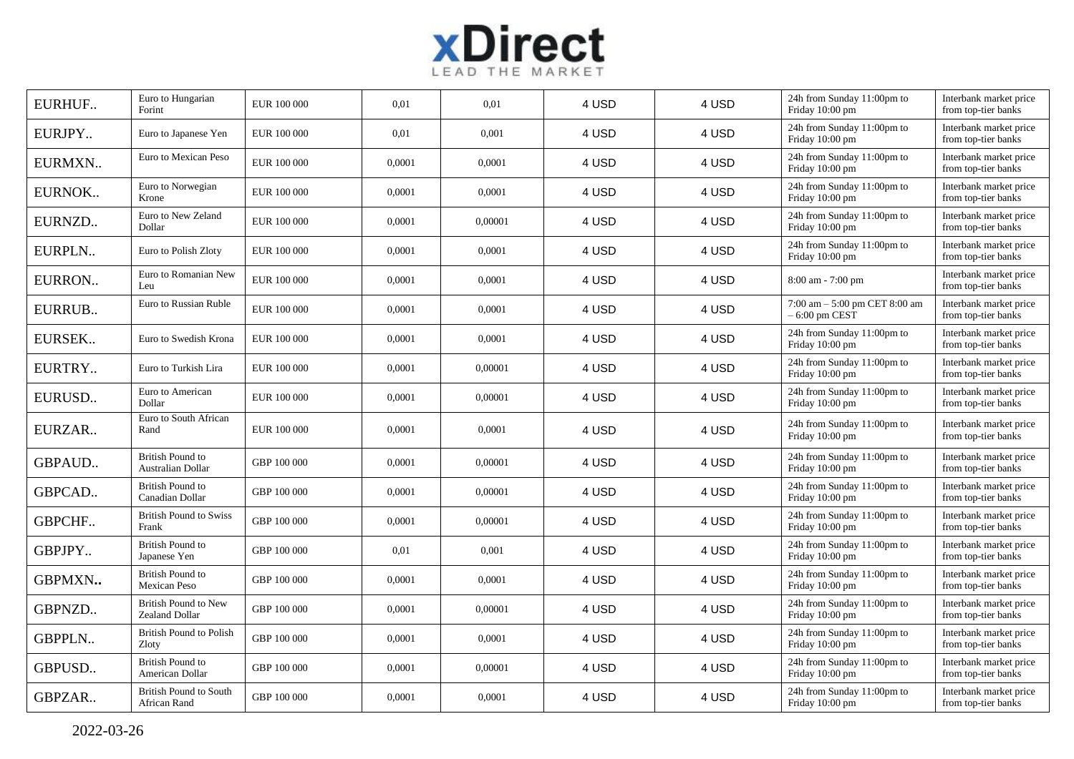

| EURHUF        | Euro to Hungarian<br>Forint                   | EUR 100 000 | 0,01   | 0,01    | 4 USD | 4 USD | 24h from Sunday 11:00pm to<br>Friday 10:00 pm      | Interbank market price<br>from top-tier banks |
|---------------|-----------------------------------------------|-------------|--------|---------|-------|-------|----------------------------------------------------|-----------------------------------------------|
| EURJPY        | Euro to Japanese Yen                          | EUR 100 000 | 0,01   | 0,001   | 4 USD | 4 USD | 24h from Sunday 11:00pm to<br>Friday 10:00 pm      | Interbank market price<br>from top-tier banks |
| EURMXN        | Euro to Mexican Peso                          | EUR 100 000 | 0,0001 | 0,0001  | 4 USD | 4 USD | 24h from Sunday 11:00pm to<br>Friday 10:00 pm      | Interbank market price<br>from top-tier banks |
| EURNOK        | Euro to Norwegian<br>Krone                    | EUR 100 000 | 0,0001 | 0,0001  | 4 USD | 4 USD | 24h from Sunday 11:00pm to<br>Friday 10:00 pm      | Interbank market price<br>from top-tier banks |
| EURNZD        | Euro to New Zeland<br>Dollar                  | EUR 100 000 | 0,0001 | 0,00001 | 4 USD | 4 USD | 24h from Sunday 11:00pm to<br>Friday 10:00 pm      | Interbank market price<br>from top-tier banks |
| EURPLN        | Euro to Polish Zloty                          | EUR 100 000 | 0,0001 | 0,0001  | 4 USD | 4 USD | 24h from Sunday 11:00pm to<br>Friday 10:00 pm      | Interbank market price<br>from top-tier banks |
| EURRON        | Euro to Romanian New<br>Leu                   | EUR 100 000 | 0,0001 | 0,0001  | 4 USD | 4 USD | $8:00$ am - 7:00 pm                                | Interbank market price<br>from top-tier banks |
| EURRUB        | Euro to Russian Ruble                         | EUR 100 000 | 0,0001 | 0,0001  | 4 USD | 4 USD | 7:00 am $-$ 5:00 pm CET 8:00 am<br>$-6:00$ pm CEST | Interbank market price<br>from top-tier banks |
| EURSEK        | Euro to Swedish Krona                         | EUR 100 000 | 0,0001 | 0,0001  | 4 USD | 4 USD | 24h from Sunday 11:00pm to<br>Friday 10:00 pm      | Interbank market price<br>from top-tier banks |
| EURTRY        | Euro to Turkish Lira                          | EUR 100 000 | 0,0001 | 0,00001 | 4 USD | 4 USD | 24h from Sunday 11:00pm to<br>Friday 10:00 pm      | Interbank market price<br>from top-tier banks |
| EURUSD        | Euro to American<br>Dollar                    | EUR 100 000 | 0,0001 | 0,00001 | 4 USD | 4 USD | 24h from Sunday 11:00pm to<br>Friday 10:00 pm      | Interbank market price<br>from top-tier banks |
| EURZAR        | Euro to South African<br>Rand                 | EUR 100 000 | 0,0001 | 0,0001  | 4 USD | 4 USD | 24h from Sunday 11:00pm to<br>Friday 10:00 pm      | Interbank market price<br>from top-tier banks |
| <b>GBPAUD</b> | <b>British Pound to</b><br>Australian Dollar  | GBP 100 000 | 0,0001 | 0,00001 | 4 USD | 4 USD | 24h from Sunday 11:00pm to<br>Friday 10:00 pm      | Interbank market price<br>from top-tier banks |
| GBPCAD        | <b>British Pound to</b><br>Canadian Dollar    | GBP 100 000 | 0,0001 | 0,00001 | 4 USD | 4 USD | 24h from Sunday 11:00pm to<br>Friday 10:00 pm      | Interbank market price<br>from top-tier banks |
| GBPCHF        | <b>British Pound to Swiss</b><br>Frank        | GBP 100 000 | 0,0001 | 0,00001 | 4 USD | 4 USD | 24h from Sunday 11:00pm to<br>Friday 10:00 pm      | Interbank market price<br>from top-tier banks |
| GBPJPY        | <b>British Pound to</b><br>Japanese Yen       | GBP 100 000 | 0,01   | 0,001   | 4 USD | 4 USD | 24h from Sunday 11:00pm to<br>Friday 10:00 pm      | Interbank market price<br>from top-tier banks |
| GBPMXN        | <b>British Pound to</b><br>Mexican Peso       | GBP 100 000 | 0,0001 | 0,0001  | 4 USD | 4 USD | 24h from Sunday 11:00pm to<br>Friday 10:00 pm      | Interbank market price<br>from top-tier banks |
| GBPNZD        | <b>British Pound to New</b><br>Zealand Dollar | GBP 100 000 | 0,0001 | 0,00001 | 4 USD | 4 USD | 24h from Sunday 11:00pm to<br>Friday 10:00 pm      | Interbank market price<br>from top-tier banks |
| <b>GBPPLN</b> | British Pound to Polish<br>Zloty              | GBP 100 000 | 0,0001 | 0,0001  | 4 USD | 4 USD | 24h from Sunday 11:00pm to<br>Friday 10:00 pm      | Interbank market price<br>from top-tier banks |
| GBPUSD        | <b>British Pound to</b><br>American Dollar    | GBP 100 000 | 0,0001 | 0,00001 | 4 USD | 4 USD | 24h from Sunday 11:00pm to<br>Friday 10:00 pm      | Interbank market price<br>from top-tier banks |
| GBPZAR        | <b>British Pound to South</b><br>African Rand | GBP 100 000 | 0,0001 | 0,0001  | 4 USD | 4 USD | 24h from Sunday 11:00pm to<br>Friday 10:00 pm      | Interbank market price<br>from top-tier banks |

2022-03-26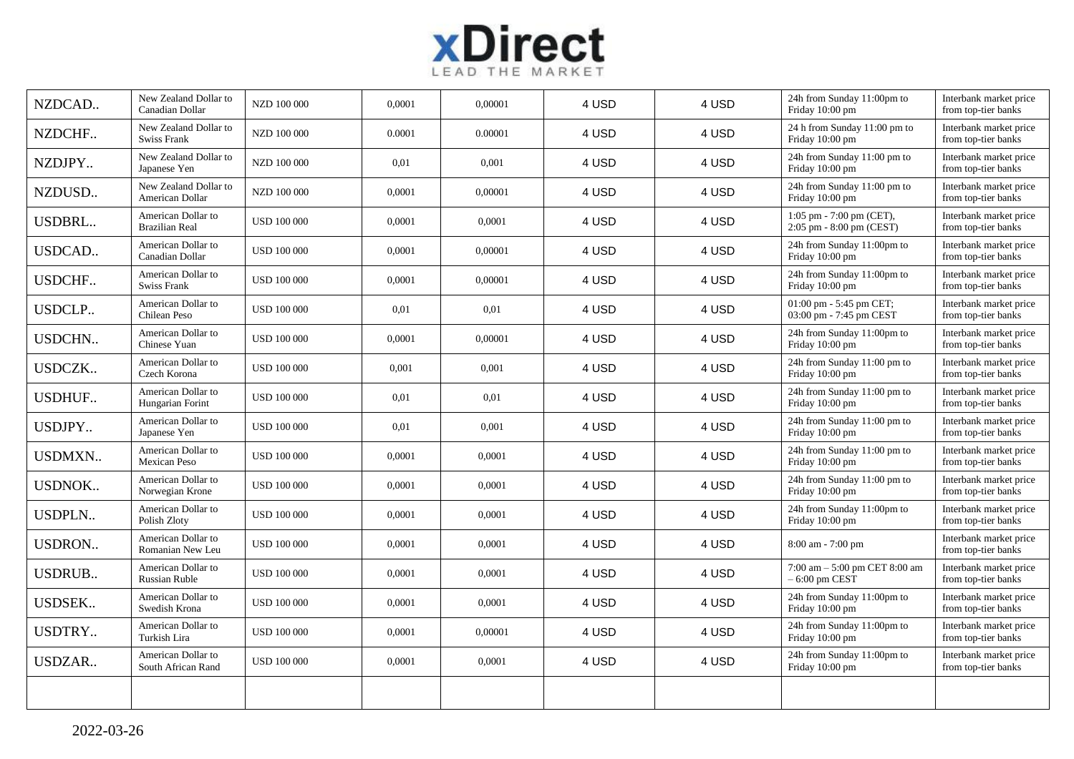

| NZDCAD        | New Zealand Dollar to<br>Canadian Dollar    | NZD 100 000        | 0,0001 | 0.00001 | 4 USD | 4 USD | 24h from Sunday 11:00pm to<br>Friday 10:00 pm          | Interbank market price<br>from top-tier banks |
|---------------|---------------------------------------------|--------------------|--------|---------|-------|-------|--------------------------------------------------------|-----------------------------------------------|
| NZDCHF        | New Zealand Dollar to<br><b>Swiss Frank</b> | NZD 100 000        | 0.0001 | 0.00001 | 4 USD | 4 USD | 24 h from Sunday 11:00 pm to<br>Friday 10:00 pm        | Interbank market price<br>from top-tier banks |
| NZDJPY        | New Zealand Dollar to<br>Japanese Yen       | NZD 100 000        | 0,01   | 0,001   | 4 USD | 4 USD | 24h from Sunday 11:00 pm to<br>Friday 10:00 pm         | Interbank market price<br>from top-tier banks |
| NZDUSD        | New Zealand Dollar to<br>American Dollar    | NZD 100 000        | 0,0001 | 0,00001 | 4 USD | 4 USD | 24h from Sunday 11:00 pm to<br>Friday 10:00 pm         | Interbank market price<br>from top-tier banks |
| <b>USDBRL</b> | American Dollar to<br><b>Brazilian Real</b> | <b>USD 100 000</b> | 0,0001 | 0,0001  | 4 USD | 4 USD | 1:05 pm - 7:00 pm (CET),<br>2:05 pm - 8:00 pm (CEST)   | Interbank market price<br>from top-tier banks |
| <b>USDCAD</b> | American Dollar to<br>Canadian Dollar       | <b>USD 100 000</b> | 0,0001 | 0,00001 | 4 USD | 4 USD | 24h from Sunday 11:00pm to<br>Friday 10:00 pm          | Interbank market price<br>from top-tier banks |
| USDCHF        | American Dollar to<br><b>Swiss Frank</b>    | <b>USD 100 000</b> | 0,0001 | 0,00001 | 4 USD | 4 USD | 24h from Sunday 11:00pm to<br>Friday 10:00 pm          | Interbank market price<br>from top-tier banks |
| <b>USDCLP</b> | American Dollar to<br>Chilean Peso          | <b>USD 100 000</b> | 0.01   | 0,01    | 4 USD | 4 USD | 01:00 pm - 5:45 pm CET;<br>03:00 pm - 7:45 pm CEST     | Interbank market price<br>from top-tier banks |
| <b>USDCHN</b> | American Dollar to<br>Chinese Yuan          | <b>USD 100 000</b> | 0,0001 | 0,00001 | 4 USD | 4 USD | 24h from Sunday 11:00pm to<br>Friday 10:00 pm          | Interbank market price<br>from top-tier banks |
| <b>USDCZK</b> | American Dollar to<br>Czech Korona          | <b>USD 100 000</b> | 0,001  | 0,001   | 4 USD | 4 USD | 24h from Sunday 11:00 pm to<br>Friday 10:00 pm         | Interbank market price<br>from top-tier banks |
| <b>USDHUF</b> | American Dollar to<br>Hungarian Forint      | <b>USD 100 000</b> | 0,01   | 0,01    | 4 USD | 4 USD | 24h from Sunday 11:00 pm to<br>Friday 10:00 pm         | Interbank market price<br>from top-tier banks |
| USDJPY        | American Dollar to<br>Japanese Yen          | <b>USD 100 000</b> | 0,01   | 0,001   | 4 USD | 4 USD | 24h from Sunday 11:00 pm to<br>Friday 10:00 pm         | Interbank market price<br>from top-tier banks |
| <b>USDMXN</b> | American Dollar to<br>Mexican Peso          | <b>USD 100 000</b> | 0,0001 | 0,0001  | 4 USD | 4 USD | 24h from Sunday 11:00 pm to<br>Friday 10:00 pm         | Interbank market price<br>from top-tier banks |
| <b>USDNOK</b> | American Dollar to<br>Norwegian Krone       | <b>USD 100 000</b> | 0,0001 | 0,0001  | 4 USD | 4 USD | 24h from Sunday 11:00 pm to<br>Friday 10:00 pm         | Interbank market price<br>from top-tier banks |
| <b>USDPLN</b> | American Dollar to<br>Polish Zloty          | <b>USD 100 000</b> | 0,0001 | 0,0001  | 4 USD | 4 USD | 24h from Sunday 11:00pm to<br>Friday 10:00 pm          | Interbank market price<br>from top-tier banks |
| <b>USDRON</b> | American Dollar to<br>Romanian New Leu      | <b>USD 100 000</b> | 0,0001 | 0,0001  | 4 USD | 4 USD | 8:00 am - 7:00 pm                                      | Interbank market price<br>from top-tier banks |
| <b>USDRUB</b> | American Dollar to<br>Russian Ruble         | <b>USD 100 000</b> | 0,0001 | 0,0001  | 4 USD | 4 USD | $7:00$ am – $5:00$ pm CET $8:00$ am<br>$-6:00$ pm CEST | Interbank market price<br>from top-tier banks |
| <b>USDSEK</b> | American Dollar to<br>Swedish Krona         | <b>USD 100 000</b> | 0,0001 | 0,0001  | 4 USD | 4 USD | 24h from Sunday 11:00pm to<br>Friday 10:00 pm          | Interbank market price<br>from top-tier banks |
| <b>USDTRY</b> | American Dollar to<br>Turkish Lira          | <b>USD 100 000</b> | 0,0001 | 0,00001 | 4 USD | 4 USD | 24h from Sunday 11:00pm to<br>Friday 10:00 pm          | Interbank market price<br>from top-tier banks |
| USDZAR        | American Dollar to<br>South African Rand    | <b>USD 100 000</b> | 0,0001 | 0,0001  | 4 USD | 4 USD | 24h from Sunday 11:00pm to<br>Friday 10:00 pm          | Interbank market price<br>from top-tier banks |
|               |                                             |                    |        |         |       |       |                                                        |                                               |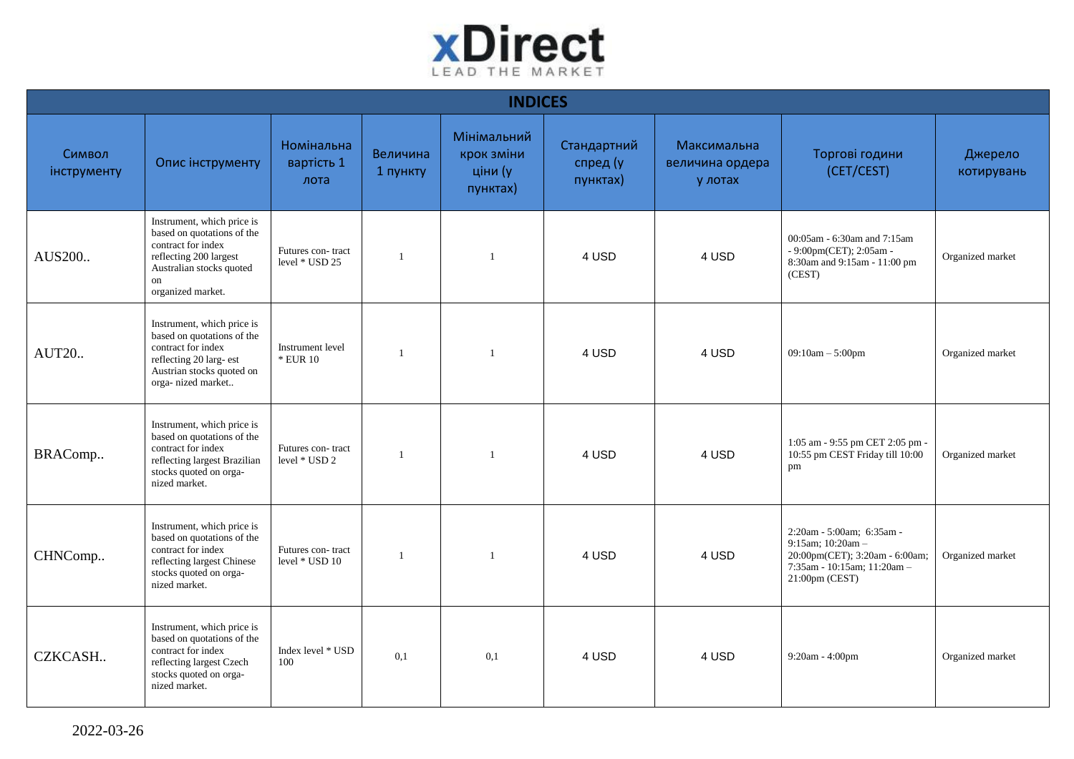

| <b>INDICES</b>        |                                                                                                                                                                 |                                     |                      |                                                  |                                     |                                           |                                                                                                                                      |                       |  |  |  |
|-----------------------|-----------------------------------------------------------------------------------------------------------------------------------------------------------------|-------------------------------------|----------------------|--------------------------------------------------|-------------------------------------|-------------------------------------------|--------------------------------------------------------------------------------------------------------------------------------------|-----------------------|--|--|--|
| Символ<br>інструменту | Опис інструменту                                                                                                                                                | Номінальна<br>вартість 1<br>лота    | Величина<br>1 пункту | Мінімальний<br>крок зміни<br>ціни (у<br>пунктах) | Стандартний<br>спред (у<br>пунктах) | Максимальна<br>величина ордера<br>у лотах | Торгові години<br>(CET/CEST)                                                                                                         | Джерело<br>котирувань |  |  |  |
| AUS200                | Instrument, which price is<br>based on quotations of the<br>contract for index<br>reflecting 200 largest<br>Australian stocks quoted<br>on<br>organized market. | Futures con-tract<br>level * USD 25 |                      | $\mathbf{1}$                                     | 4 USD                               | 4 USD                                     | 00:05am - 6:30am and 7:15am<br>- 9:00pm(CET); 2:05am -<br>8:30am and 9:15am - 11:00 pm<br>(CEST)                                     | Organized market      |  |  |  |
| <b>AUT20</b>          | Instrument, which price is<br>based on quotations of the<br>contract for index<br>reflecting 20 larg- est<br>Austrian stocks quoted on<br>orga-nized market     | Instrument level<br>* EUR 10        |                      |                                                  | 4 USD                               | 4 USD                                     | $09:10am - 5:00pm$                                                                                                                   | Organized market      |  |  |  |
| BRAComp               | Instrument, which price is<br>based on quotations of the<br>contract for index<br>reflecting largest Brazilian<br>stocks quoted on orga-<br>nized market.       | Futures con-tract<br>level * USD 2  |                      | $\mathbf{1}$                                     | 4 USD                               | 4 USD                                     | 1:05 am - 9:55 pm CET 2:05 pm -<br>10:55 pm CEST Friday till 10:00<br>pm                                                             | Organized market      |  |  |  |
| CHNComp               | Instrument, which price is<br>based on quotations of the<br>contract for index<br>reflecting largest Chinese<br>stocks quoted on orga-<br>nized market.         | Futures con-tract<br>level * USD 10 |                      |                                                  | 4 USD                               | 4 USD                                     | 2:20am - 5:00am; 6:35am -<br>9:15am; $10:20$ am -<br>20:00pm(CET); 3:20am - 6:00am;<br>7:35am - 10:15am; 11:20am -<br>21:00pm (CEST) | Organized market      |  |  |  |
| CZKCASH               | Instrument, which price is<br>based on quotations of the<br>contract for index<br>reflecting largest Czech<br>stocks quoted on orga-<br>nized market.           | Index level * USD<br>100            | 0,1                  | 0,1                                              | 4 USD                               | 4 USD                                     | 9:20am - 4:00pm                                                                                                                      | Organized market      |  |  |  |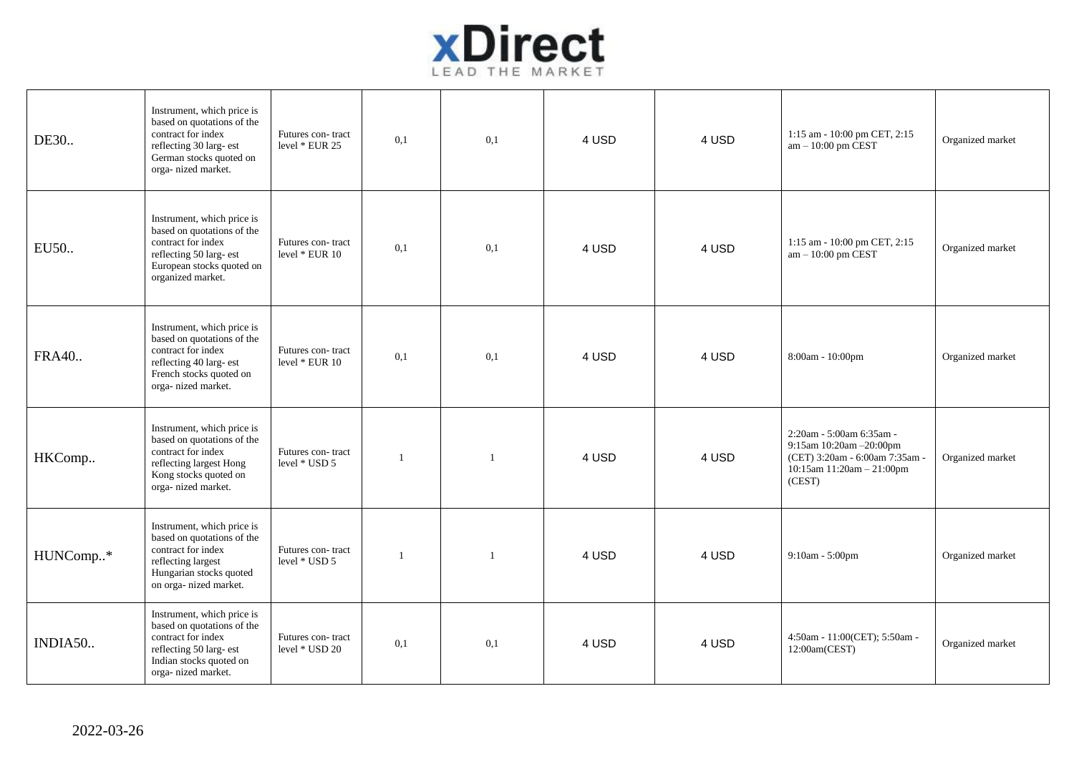

| DE30         | Instrument, which price is<br>based on quotations of the<br>contract for index<br>reflecting 30 larg- est<br>German stocks quoted on<br>orga-nized market.  | Futures con-tract<br>level * EUR 25 | 0,1          | 0,1          | 4 USD | 4 USD | 1:15 am - 10:00 pm CET, 2:15<br>$am - 10:00$ pm CEST                                                                         | Organized market |
|--------------|-------------------------------------------------------------------------------------------------------------------------------------------------------------|-------------------------------------|--------------|--------------|-------|-------|------------------------------------------------------------------------------------------------------------------------------|------------------|
| EU50         | Instrument, which price is<br>based on quotations of the<br>contract for index<br>reflecting 50 larg- est<br>European stocks quoted on<br>organized market. | Futures con-tract<br>level * EUR 10 | 0,1          | 0,1          | 4 USD | 4 USD | 1:15 am - 10:00 pm CET, 2:15<br>am - 10:00 pm CEST                                                                           | Organized market |
| <b>FRA40</b> | Instrument, which price is<br>based on quotations of the<br>contract for index<br>reflecting 40 larg- est<br>French stocks quoted on<br>orga- nized market. | Futures con-tract<br>level * EUR 10 | 0,1          | 0,1          | 4 USD | 4 USD | 8:00am - 10:00pm                                                                                                             | Organized market |
| HKComp       | Instrument, which price is<br>based on quotations of the<br>contract for index<br>reflecting largest Hong<br>Kong stocks quoted on<br>orga-nized market.    | Futures con-tract<br>level * USD 5  | -1           | -1           | 4 USD | 4 USD | 2:20am - 5:00am 6:35am -<br>9:15am 10:20am -20:00pm<br>(CET) 3:20am - 6:00am 7:35am -<br>10:15am 11:20am - 21:00pm<br>(CEST) | Organized market |
| HUNComp*     | Instrument, which price is<br>based on quotations of the<br>contract for index<br>reflecting largest<br>Hungarian stocks quoted<br>on orga- nized market.   | Futures con-tract<br>level * USD 5  | $\mathbf{1}$ | $\mathbf{1}$ | 4 USD | 4 USD | 9:10am - 5:00pm                                                                                                              | Organized market |
| INDIA50      | Instrument, which price is<br>based on quotations of the<br>contract for index<br>reflecting 50 larg- est<br>Indian stocks quoted on<br>orga-nized market.  | Futures con-tract<br>level * USD 20 | 0,1          | 0,1          | 4 USD | 4 USD | 4:50am - 11:00(CET); 5:50am -<br>12:00am(CEST)                                                                               | Organized market |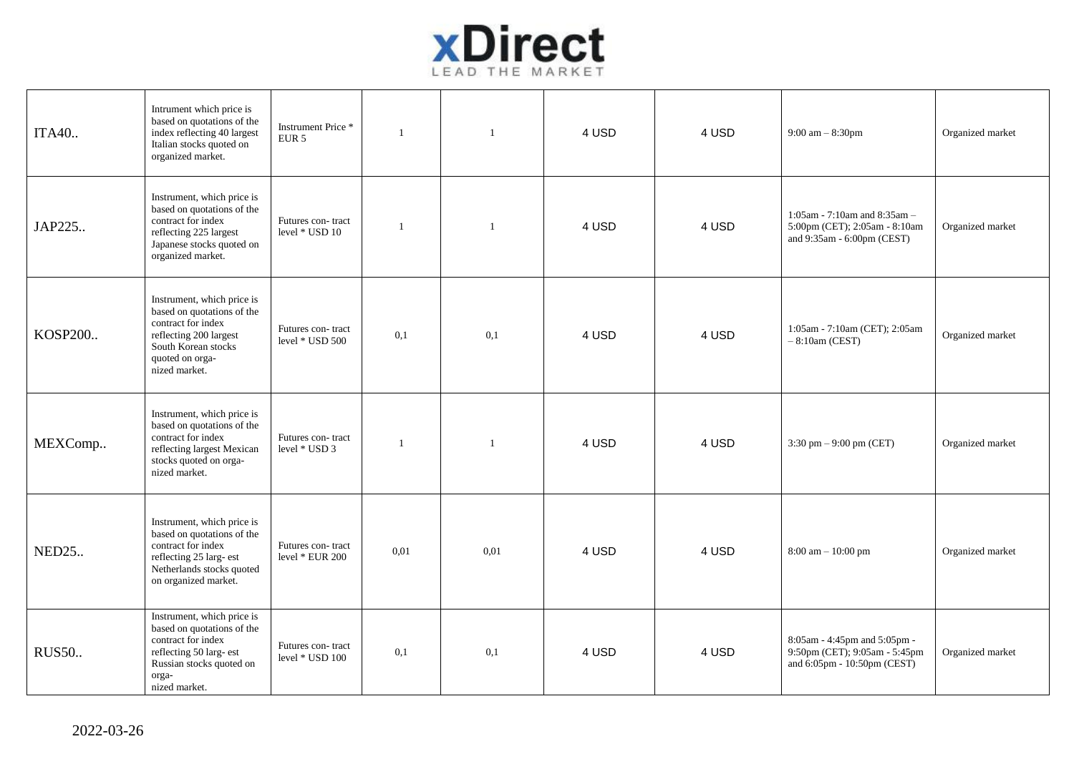

| ITA40        | Intrument which price is<br>based on quotations of the<br>index reflecting 40 largest<br>Italian stocks quoted on<br>organized market.                              | Instrument Price *<br>EUR <sub>5</sub> | $\overline{1}$ | $\mathbf{1}$ | 4 USD | 4 USD | 9:00 am $-8:30$ pm                                                                           | Organized market |
|--------------|---------------------------------------------------------------------------------------------------------------------------------------------------------------------|----------------------------------------|----------------|--------------|-------|-------|----------------------------------------------------------------------------------------------|------------------|
| JAP225       | Instrument, which price is<br>based on quotations of the<br>contract for index<br>reflecting 225 largest<br>Japanese stocks quoted on<br>organized market.          | Futures con-tract<br>level * USD 10    | $\overline{1}$ | $\mathbf{1}$ | 4 USD | 4 USD | 1:05am - 7:10am and 8:35am -<br>5:00pm (CET); 2:05am - 8:10am<br>and 9:35am - 6:00pm (CEST)  | Organized market |
| KOSP200      | Instrument, which price is<br>based on quotations of the<br>contract for index<br>reflecting 200 largest<br>South Korean stocks<br>quoted on orga-<br>nized market. | Futures con-tract<br>level * USD 500   | 0,1            | 0,1          | 4 USD | 4 USD | 1:05am - 7:10am (CET); 2:05am<br>$-8:10$ am (CEST)                                           | Organized market |
| MEXComp      | Instrument, which price is<br>based on quotations of the<br>contract for index<br>reflecting largest Mexican<br>stocks quoted on orga-<br>nized market.             | Futures con-tract<br>level * USD 3     |                | -1           | 4 USD | 4 USD | 3:30 pm $-$ 9:00 pm (CET)                                                                    | Organized market |
| <b>NED25</b> | Instrument, which price is<br>based on quotations of the<br>contract for index<br>reflecting 25 larg- est<br>Netherlands stocks quoted<br>on organized market.      | Futures con-tract<br>level $*$ EUR 200 | 0.01           | 0.01         | 4 USD | 4 USD | 8:00 am - 10:00 pm                                                                           | Organized market |
| <b>RUS50</b> | Instrument, which price is<br>based on quotations of the<br>contract for index<br>reflecting 50 larg- est<br>Russian stocks quoted on<br>orga-<br>nized market.     | Futures con-tract<br>level * USD 100   | 0,1            | 0,1          | 4 USD | 4 USD | 8:05am - 4:45pm and 5:05pm -<br>9:50pm (CET); 9:05am - 5:45pm<br>and 6:05pm - 10:50pm (CEST) | Organized market |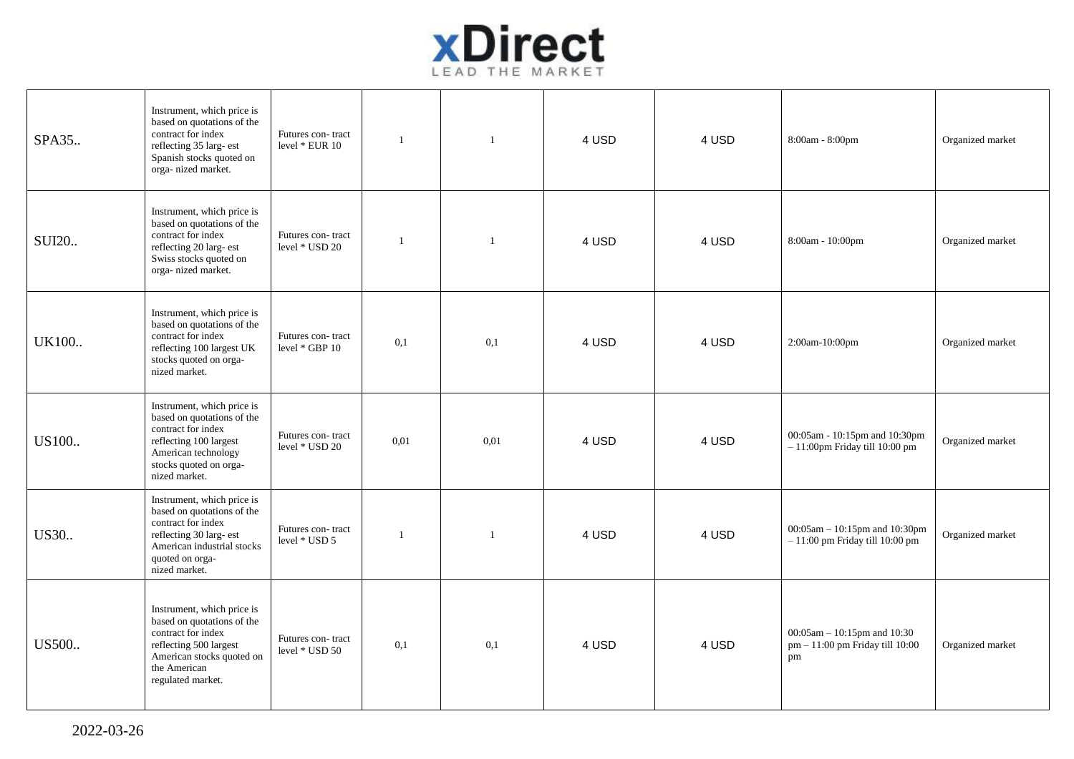

| SPA35        | Instrument, which price is<br>based on quotations of the<br>contract for index<br>reflecting 35 larg- est<br>Spanish stocks quoted on<br>orga-nized market.                 | Futures con-tract<br>level * EUR 10   | $\mathbf{1}$   | $\mathbf{1}$ | 4 USD | 4 USD | 8:00am - 8:00pm                                                      | Organized market |
|--------------|-----------------------------------------------------------------------------------------------------------------------------------------------------------------------------|---------------------------------------|----------------|--------------|-------|-------|----------------------------------------------------------------------|------------------|
| <b>SUI20</b> | Instrument, which price is<br>based on quotations of the<br>contract for index<br>reflecting 20 larg- est<br>Swiss stocks quoted on<br>orga- nized market.                  | Futures con-tract<br>level * USD 20   | $\overline{1}$ | $\mathbf{1}$ | 4 USD | 4 USD | 8:00am - 10:00pm                                                     | Organized market |
| UK100        | Instrument, which price is<br>based on quotations of the<br>contract for index<br>reflecting 100 largest UK<br>stocks quoted on orga-<br>nized market.                      | Futures con-tract<br>level $*$ GBP 10 | 0,1            | 0,1          | 4 USD | 4 USD | 2:00am-10:00pm                                                       | Organized market |
| US100        | Instrument, which price is<br>based on quotations of the<br>contract for index<br>reflecting 100 largest<br>American technology<br>stocks quoted on orga-<br>nized market.  | Futures con-tract<br>level * USD 20   | 0.01           | 0,01         | 4 USD | 4 USD | 00:05am - 10:15pm and 10:30pm<br>$-11:00$ pm Friday till $10:00$ pm  | Organized market |
| US30         | Instrument, which price is<br>based on quotations of the<br>contract for index<br>reflecting 30 larg- est<br>American industrial stocks<br>quoted on orga-<br>nized market. | Futures con-tract<br>level * USD 5    | 1              | -1           | 4 USD | 4 USD | 00:05am - 10:15pm and 10:30pm<br>$-11:00$ pm Friday till 10:00 pm    | Organized market |
| US500        | Instrument, which price is<br>based on quotations of the<br>contract for index<br>reflecting 500 largest<br>American stocks quoted on<br>the American<br>regulated market.  | Futures con-tract<br>level * USD 50   | 0,1            | 0,1          | 4 USD | 4 USD | 00:05am - 10:15pm and 10:30<br>pm - 11:00 pm Friday till 10:00<br>pm | Organized market |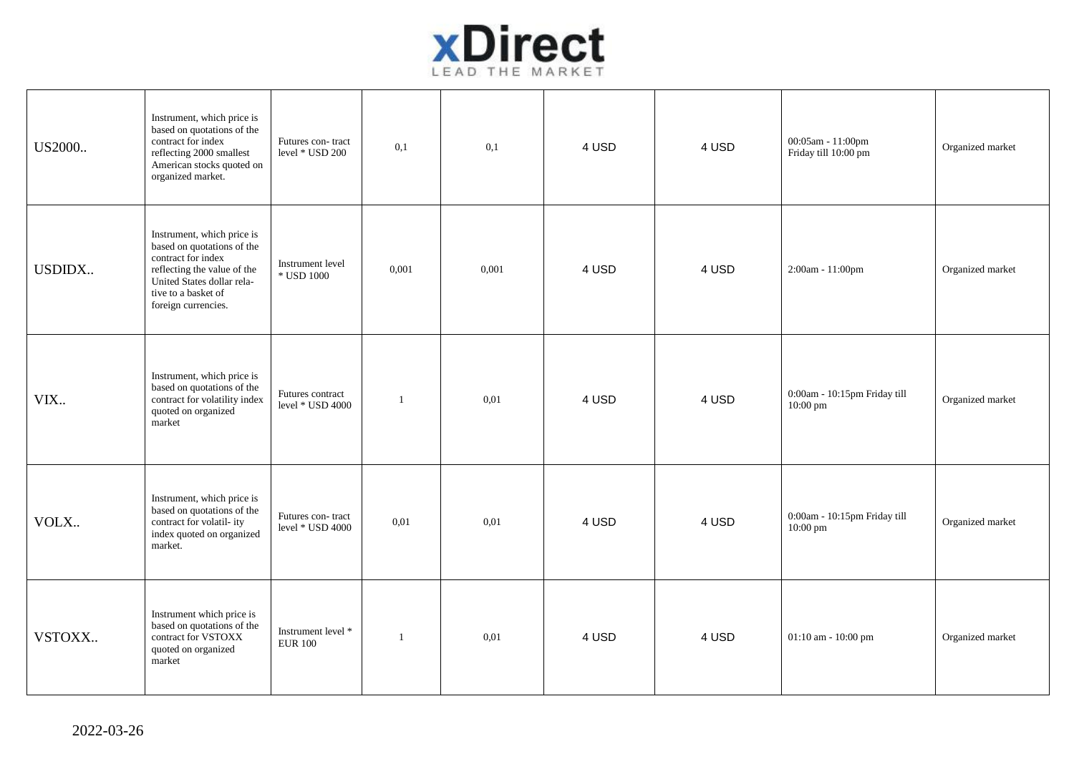

| US2000 | Instrument, which price is<br>based on quotations of the<br>contract for index<br>reflecting 2000 smallest<br>American stocks quoted on<br>organized market.                              | Futures con-tract<br>level * USD 200  | 0,1          | 0,1   | 4 USD | 4 USD | 00:05am - 11:00pm<br>Friday till 10:00 pm | Organized market |
|--------|-------------------------------------------------------------------------------------------------------------------------------------------------------------------------------------------|---------------------------------------|--------------|-------|-------|-------|-------------------------------------------|------------------|
| USDIDX | Instrument, which price is<br>based on quotations of the<br>contract for index<br>reflecting the value of the<br>United States dollar rela-<br>tive to a basket of<br>foreign currencies. | Instrument level<br>$\,^*$ USD 1000   | 0,001        | 0,001 | 4 USD | 4 USD | 2:00am - 11:00pm                          | Organized market |
| VIX.   | Instrument, which price is<br>based on quotations of the<br>contract for volatility index<br>quoted on organized<br>market                                                                | Futures contract<br>level * USD 4000  | $\mathbf{1}$ | 0.01  | 4 USD | 4 USD | 0:00am - 10:15pm Friday till<br>10:00 pm  | Organized market |
| VOLX   | Instrument, which price is<br>based on quotations of the<br>contract for volatil- ity<br>index quoted on organized<br>market.                                                             | Futures con-tract<br>level * USD 4000 | 0,01         | 0,01  | 4 USD | 4 USD | 0:00am - 10:15pm Friday till<br>10:00 pm  | Organized market |
| VSTOXX | Instrument which price is<br>based on quotations of the<br>contract for VSTOXX<br>quoted on organized<br>market                                                                           | Instrument level *<br><b>EUR 100</b>  | 1            | 0,01  | 4 USD | 4 USD | 01:10 am - 10:00 pm                       | Organized market |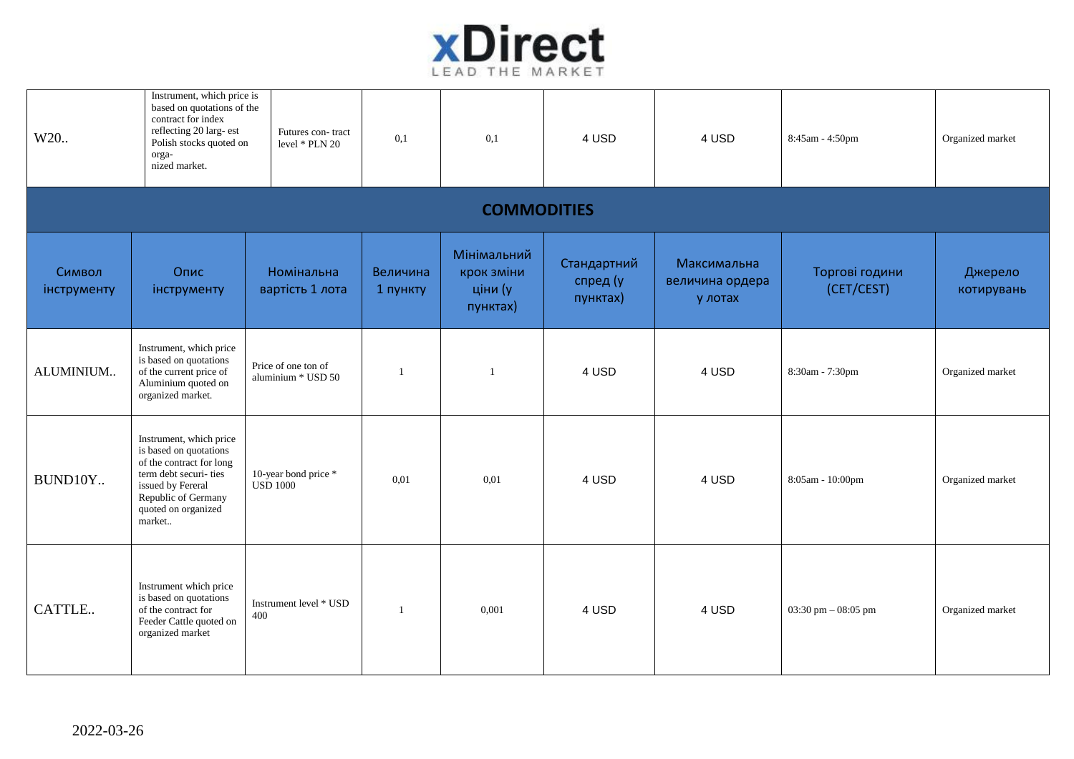

| W20                   | Instrument, which price is<br>based on quotations of the<br>contract for index<br>reflecting 20 larg- est<br>Polish stocks quoted on<br>orga-<br>nized market.                      | Futures con-tract<br>level * PLN 20       | 0,1                  | 0,1                                              | 4 USD                               | 4 USD                                     | 8:45am - 4:50pm              | Organized market      |  |  |  |  |
|-----------------------|-------------------------------------------------------------------------------------------------------------------------------------------------------------------------------------|-------------------------------------------|----------------------|--------------------------------------------------|-------------------------------------|-------------------------------------------|------------------------------|-----------------------|--|--|--|--|
|                       | <b>COMMODITIES</b>                                                                                                                                                                  |                                           |                      |                                                  |                                     |                                           |                              |                       |  |  |  |  |
| Символ<br>інструменту | Опис<br>інструменту                                                                                                                                                                 | Номінальна<br>вартість 1 лота             | Величина<br>1 пункту | Мінімальний<br>крок зміни<br>ціни (у<br>пунктах) | Стандартний<br>спред (у<br>пунктах) | Максимальна<br>величина ордера<br>у лотах | Торгові години<br>(CET/CEST) | Джерело<br>котирувань |  |  |  |  |
| ALUMINIUM             | Instrument, which price<br>is based on quotations<br>of the current price of<br>Aluminium quoted on<br>organized market.                                                            | Price of one ton of<br>aluminium * USD 50 |                      | $\overline{1}$                                   | 4 USD                               | 4 USD                                     | 8:30am - 7:30pm              | Organized market      |  |  |  |  |
| BUND10Y               | Instrument, which price<br>is based on quotations<br>of the contract for long<br>term debt securi-ties<br>issued by Fereral<br>Republic of Germany<br>quoted on organized<br>market | 10-year bond price *<br><b>USD 1000</b>   | 0.01                 | 0.01                                             | 4 USD                               | 4 USD                                     | 8:05am - 10:00pm             | Organized market      |  |  |  |  |
| CATTLE                | Instrument which price<br>is based on quotations<br>of the contract for<br>Feeder Cattle quoted on<br>organized market                                                              | Instrument level * USD<br>400             | $\overline{1}$       | 0,001                                            | 4 USD                               | 4 USD                                     | 03:30 pm $-$ 08:05 pm        | Organized market      |  |  |  |  |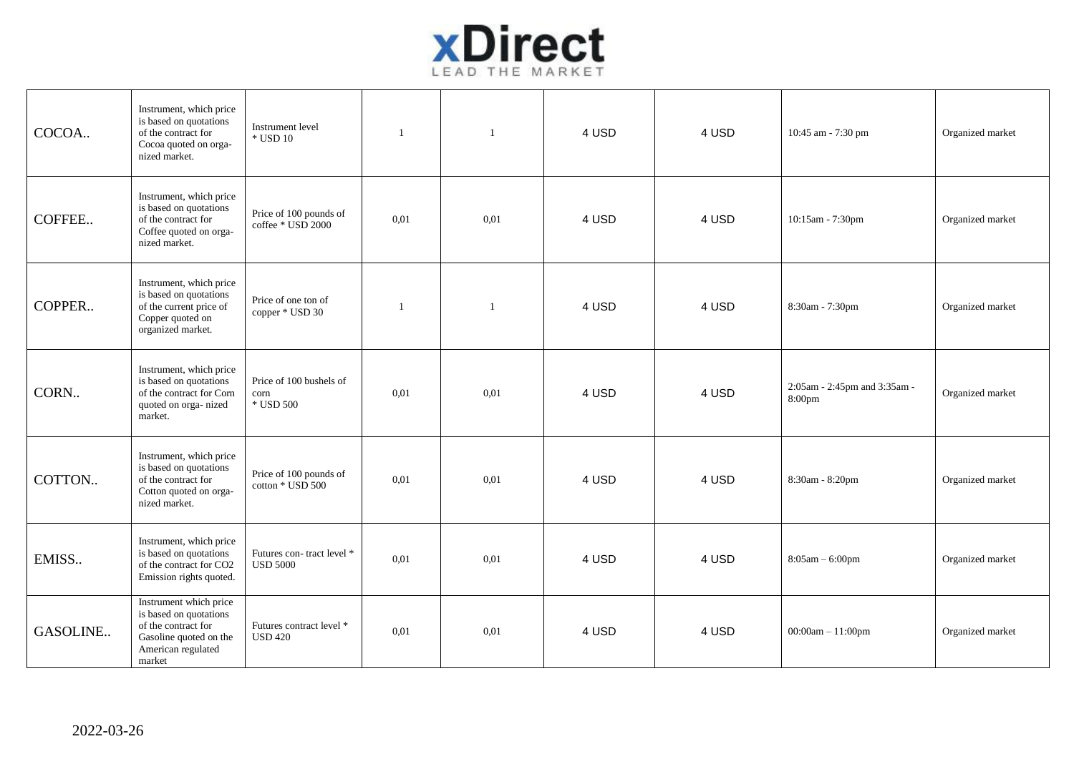

| COCOA    | Instrument, which price<br>is based on quotations<br>of the contract for<br>Cocoa quoted on orga-<br>nized market.                | Instrument level<br>$\,^*$ USD 10            | $\overline{1}$ | $\overline{1}$ | 4 USD | 4 USD | 10:45 am - 7:30 pm                     | Organized market |
|----------|-----------------------------------------------------------------------------------------------------------------------------------|----------------------------------------------|----------------|----------------|-------|-------|----------------------------------------|------------------|
| COFFEE   | Instrument, which price<br>is based on quotations<br>of the contract for<br>Coffee quoted on orga-<br>nized market.               | Price of 100 pounds of<br>coffee * USD 2000  | 0,01           | 0,01           | 4 USD | 4 USD | 10:15am - 7:30pm                       | Organized market |
| COPPER   | Instrument, which price<br>is based on quotations<br>of the current price of<br>Copper quoted on<br>organized market.             | Price of one ton of<br>copper * USD 30       | $\mathbf{1}$   | $\mathbf{1}$   | 4 USD | 4 USD | 8:30am - 7:30pm                        | Organized market |
| CORN     | Instrument, which price<br>is based on quotations<br>of the contract for Corn<br>quoted on orga-nized<br>market.                  | Price of 100 bushels of<br>corn<br>* USD 500 | 0.01           | 0,01           | 4 USD | 4 USD | 2:05am - 2:45pm and 3:35am -<br>8:00pm | Organized market |
| COTTON   | Instrument, which price<br>is based on quotations<br>of the contract for<br>Cotton quoted on orga-<br>nized market.               | Price of 100 pounds of<br>cotton * USD 500   | 0.01           | 0.01           | 4 USD | 4 USD | 8:30am - 8:20pm                        | Organized market |
| EMISS    | Instrument, which price<br>is based on quotations<br>of the contract for CO2<br>Emission rights quoted.                           | Futures con-tract level *<br><b>USD 5000</b> | 0.01           | 0.01           | 4 USD | 4 USD | $8:05am - 6:00pm$                      | Organized market |
| GASOLINE | Instrument which price<br>is based on quotations<br>of the contract for<br>Gasoline quoted on the<br>American regulated<br>market | Futures contract level *<br><b>USD 420</b>   | 0.01           | 0.01           | 4 USD | 4 USD | $00:00am - 11:00pm$                    | Organized market |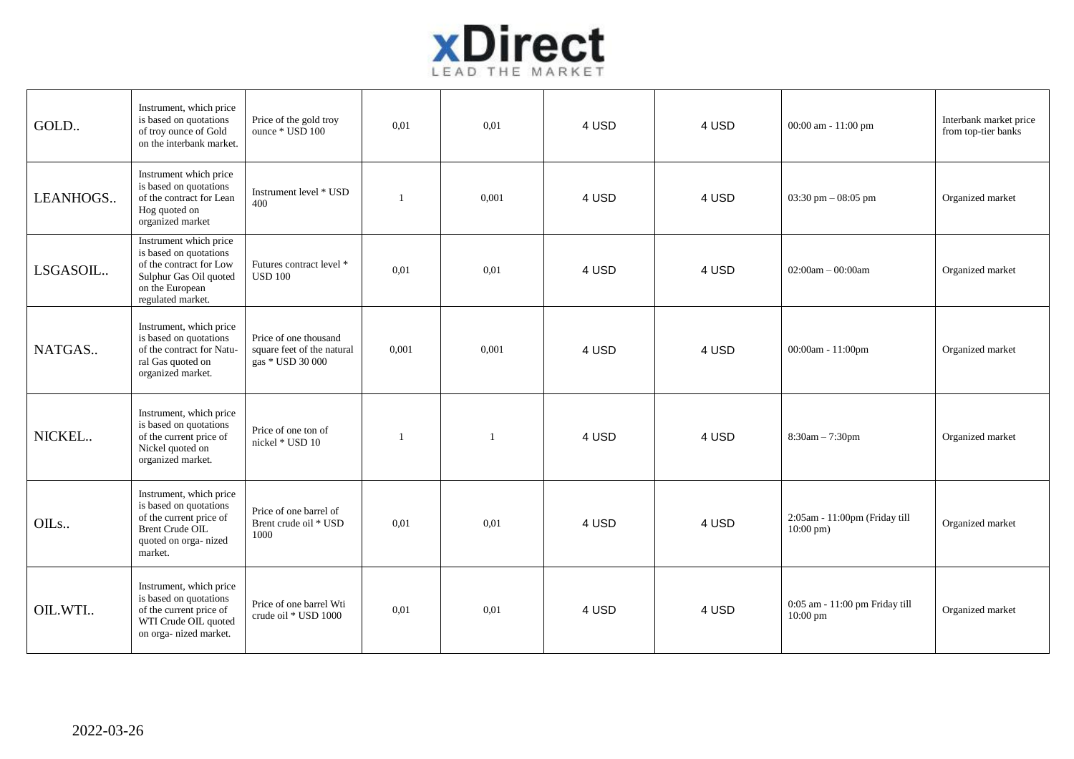

| GOLD     | Instrument, which price<br>is based on quotations<br>of troy ounce of Gold<br>on the interbank market.                                        | Price of the gold troy<br>ounce * USD 100                               | 0,01         | 0,01  | 4 USD | 4 USD | 00:00 am - 11:00 pm                                   | Interbank market price<br>from top-tier banks |
|----------|-----------------------------------------------------------------------------------------------------------------------------------------------|-------------------------------------------------------------------------|--------------|-------|-------|-------|-------------------------------------------------------|-----------------------------------------------|
| LEANHOGS | Instrument which price<br>is based on quotations<br>of the contract for Lean<br>Hog quoted on<br>organized market                             | Instrument level * USD<br>400                                           | $\mathbf{1}$ | 0,001 | 4 USD | 4 USD | 03:30 pm $-$ 08:05 pm                                 | Organized market                              |
| LSGASOIL | Instrument which price<br>is based on quotations<br>of the contract for Low<br>Sulphur Gas Oil quoted<br>on the European<br>regulated market. | Futures contract level *<br><b>USD 100</b>                              | 0,01         | 0,01  | 4 USD | 4 USD | $02:00am - 00:00am$                                   | Organized market                              |
| NATGAS   | Instrument, which price<br>is based on quotations<br>of the contract for Natu-<br>ral Gas quoted on<br>organized market.                      | Price of one thousand<br>square feet of the natural<br>gas * USD 30 000 | 0,001        | 0,001 | 4 USD | 4 USD | 00:00am - 11:00pm                                     | Organized market                              |
| NICKEL   | Instrument, which price<br>is based on quotations<br>of the current price of<br>Nickel quoted on<br>organized market.                         | Price of one ton of<br>nickel * USD 10                                  | 1            |       | 4 USD | 4 USD | 8:30am - 7:30pm                                       | Organized market                              |
| OILs     | Instrument, which price<br>is based on quotations<br>of the current price of<br><b>Brent Crude OIL</b><br>quoted on orga-nized<br>market.     | Price of one barrel of<br>Brent crude oil * USD<br>1000                 | 0,01         | 0.01  | 4 USD | 4 USD | 2:05am - 11:00pm (Friday till<br>$10:00 \text{ pm}$ ) | Organized market                              |
| OIL.WTI  | Instrument, which price<br>is based on quotations<br>of the current price of<br>WTI Crude OIL quoted<br>on orga- nized market.                | Price of one barrel Wti<br>crude oil * USD 1000                         | 0,01         | 0,01  | 4 USD | 4 USD | 0:05 am - 11:00 pm Friday till<br>10:00 pm            | Organized market                              |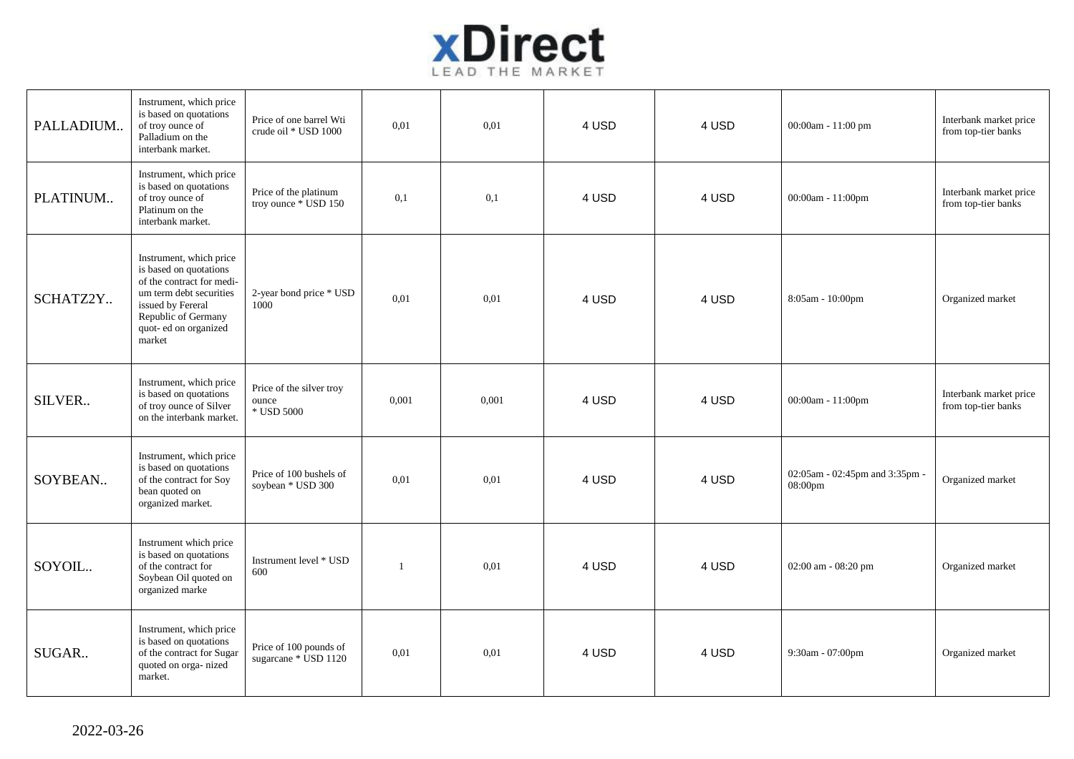

| PALLADIUM | Instrument, which price<br>is based on quotations<br>of troy ounce of<br>Palladium on the<br>interbank market.                                                                           | Price of one barrel Wti<br>crude oil * USD 1000 | 0,01         | 0.01  | 4 USD | 4 USD | 00:00am - 11:00 pm                        | Interbank market price<br>from top-tier banks |
|-----------|------------------------------------------------------------------------------------------------------------------------------------------------------------------------------------------|-------------------------------------------------|--------------|-------|-------|-------|-------------------------------------------|-----------------------------------------------|
| PLATINUM  | Instrument, which price<br>is based on quotations<br>of troy ounce of<br>Platinum on the<br>interbank market.                                                                            | Price of the platinum<br>troy ounce * USD 150   | 0,1          | 0,1   | 4 USD | 4 USD | 00:00am - $11:00$ pm                      | Interbank market price<br>from top-tier banks |
| SCHATZ2Y  | Instrument, which price<br>is based on quotations<br>of the contract for medi-<br>um term debt securities<br>issued by Fereral<br>Republic of Germany<br>quot- ed on organized<br>market | 2-year bond price * USD<br>1000                 | 0.01         | 0,01  | 4 USD | 4 USD | 8:05am - 10:00pm                          | Organized market                              |
| SILVER    | Instrument, which price<br>is based on quotations<br>of troy ounce of Silver<br>on the interbank market.                                                                                 | Price of the silver troy<br>ounce<br>* USD 5000 | 0,001        | 0,001 | 4 USD | 4 USD | 00:00am - 11:00pm                         | Interbank market price<br>from top-tier banks |
| SOYBEAN   | Instrument, which price<br>is based on quotations<br>of the contract for Soy<br>bean quoted on<br>organized market.                                                                      | Price of 100 bushels of<br>soybean * USD 300    | 0.01         | 0,01  | 4 USD | 4 USD | 02:05am - 02:45pm and 3:35pm -<br>08:00pm | Organized market                              |
| SOYOIL    | Instrument which price<br>is based on quotations<br>of the contract for<br>Soybean Oil quoted on<br>organized marke                                                                      | Instrument level * USD<br>600                   | $\mathbf{1}$ | 0.01  | 4 USD | 4 USD | 02:00 am - 08:20 pm                       | Organized market                              |
| SUGAR     | Instrument, which price<br>is based on quotations<br>of the contract for Sugar<br>quoted on orga-nized<br>market.                                                                        | Price of 100 pounds of<br>sugarcane * USD 1120  | 0,01         | 0.01  | 4 USD | 4 USD | 9:30am - 07:00pm                          | Organized market                              |